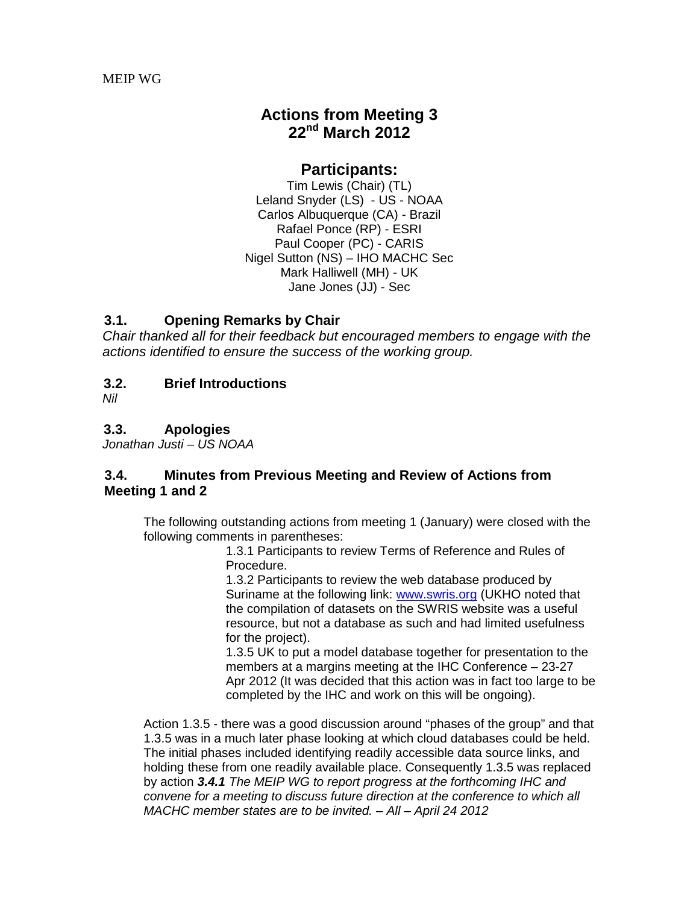# **Actions from Meeting 3 22nd March 2012**

### **Participants:**

Tim Lewis (Chair) (TL) Leland Snyder (LS) - US - NOAA Carlos Albuquerque (CA) - Brazil Rafael Ponce (RP) - ESRI Paul Cooper (PC) - CARIS Nigel Sutton (NS) – IHO MACHC Sec Mark Halliwell (MH) - UK Jane Jones (JJ) - Sec

### **3.1. Opening Remarks by Chair**

*Chair thanked all for their feedback but encouraged members to engage with the actions identified to ensure the success of the working group.*

### **3.2. Brief Introductions**

*Nil*

### **3.3. Apologies**

*Jonathan Justi – US NOAA*

#### **3.4. Minutes from Previous Meeting and Review of Actions from Meeting 1 and 2**

The following outstanding actions from meeting 1 (January) were closed with the following comments in parentheses:

1.3.1 Participants to review Terms of Reference and Rules of Procedure.

1.3.2 Participants to review the web database produced by Suriname at the following link: [www.swris.org](https://ra.ukho.gov.uk/,DanaInfo=www.swris.org+) (UKHO noted that the compilation of datasets on the SWRIS website was a useful resource, but not a database as such and had limited usefulness for the project).

1.3.5 UK to put a model database together for presentation to the members at a margins meeting at the IHC Conference – 23-27 Apr 2012 (It was decided that this action was in fact too large to be completed by the IHC and work on this will be ongoing).

Action 1.3.5 - there was a good discussion around "phases of the group" and that 1.3.5 was in a much later phase looking at which cloud databases could be held. The initial phases included identifying readily accessible data source links, and holding these from one readily available place. Consequently 1.3.5 was replaced by action *3.4.1 The MEIP WG to report progress at the forthcoming IHC and convene for a meeting to discuss future direction at the conference to which all MACHC member states are to be invited. – All – April 24 2012*